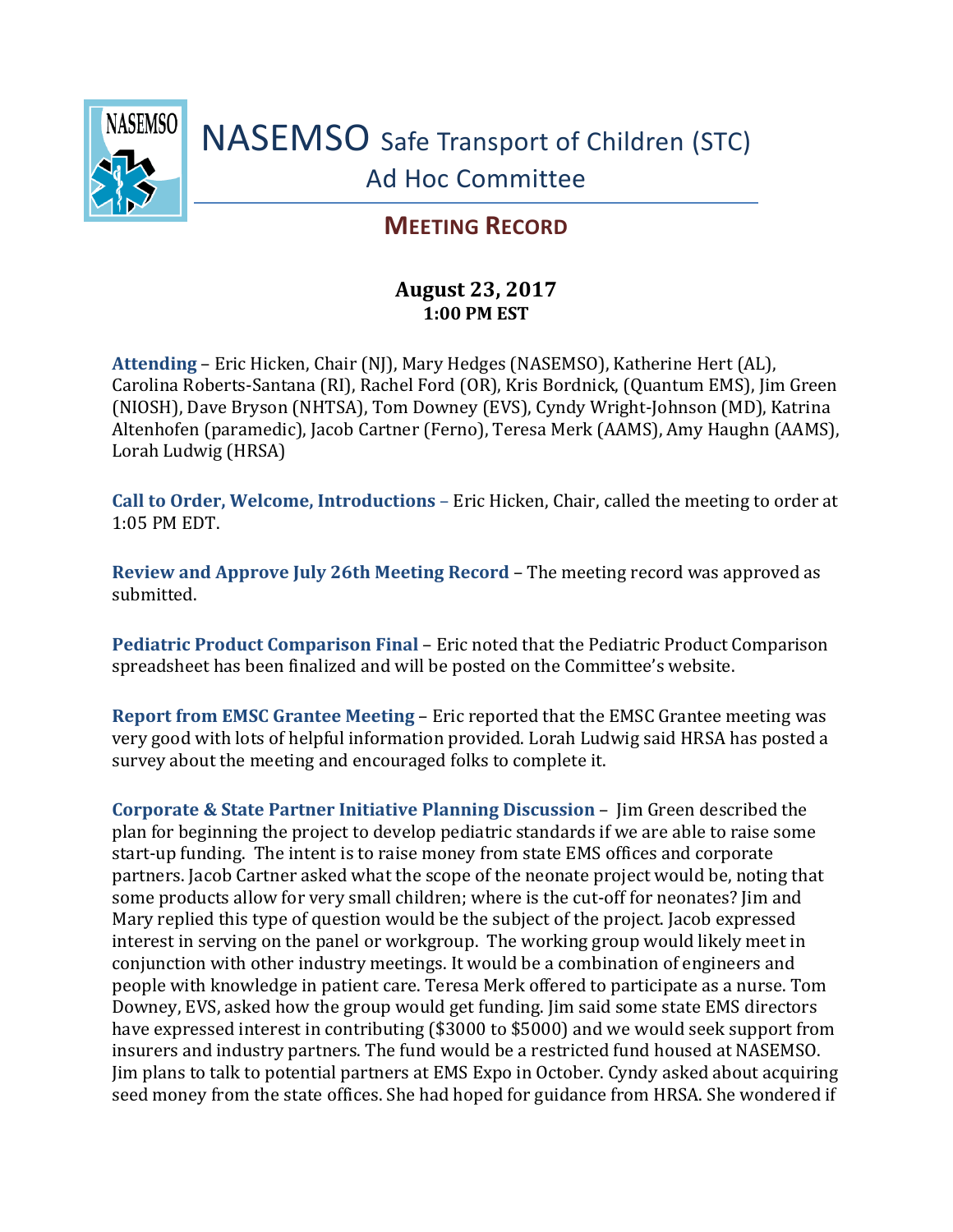

## **MEETING RECORD**

## **August 23, 2017 1:00 PM EST**

**Attending** – Eric Hicken, Chair (NJ), Mary Hedges (NASEMSO), Katherine Hert (AL), Carolina Roberts-Santana (RI), Rachel Ford (OR), Kris Bordnick, (Quantum EMS), Jim Green (NIOSH), Dave Bryson (NHTSA), Tom Downey (EVS), Cyndy Wright-Johnson (MD), Katrina Altenhofen (paramedic), Jacob Cartner (Ferno), Teresa Merk (AAMS), Amy Haughn (AAMS), Lorah Ludwig (HRSA)

**Call to Order, Welcome, Introductions** – Eric Hicken, Chair, called the meeting to order at 1:05 PM EDT.

**Review and Approve July 26th Meeting Record** – The meeting record was approved as submitted.

**Pediatric Product Comparison Final** – Eric noted that the Pediatric Product Comparison spreadsheet has been finalized and will be posted on the Committee's website.

**Report from EMSC Grantee Meeting** – Eric reported that the EMSC Grantee meeting was very good with lots of helpful information provided. Lorah Ludwig said HRSA has posted a survey about the meeting and encouraged folks to complete it.

**Corporate & State Partner Initiative Planning Discussion** – Jim Green described the plan for beginning the project to develop pediatric standards if we are able to raise some start-up funding. The intent is to raise money from state EMS offices and corporate partners. Jacob Cartner asked what the scope of the neonate project would be, noting that some products allow for very small children; where is the cut-off for neonates? Jim and Mary replied this type of question would be the subject of the project. Jacob expressed interest in serving on the panel or workgroup. The working group would likely meet in conjunction with other industry meetings. It would be a combination of engineers and people with knowledge in patient care. Teresa Merk offered to participate as a nurse. Tom Downey, EVS, asked how the group would get funding. Jim said some state EMS directors have expressed interest in contributing (\$3000 to \$5000) and we would seek support from insurers and industry partners. The fund would be a restricted fund housed at NASEMSO. Jim plans to talk to potential partners at EMS Expo in October. Cyndy asked about acquiring seed money from the state offices. She had hoped for guidance from HRSA. She wondered if